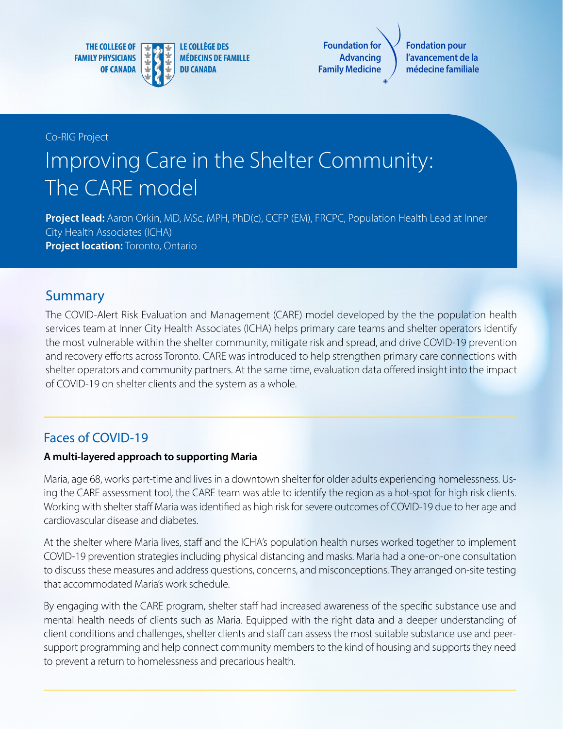**THE COLLEGE OF FAMILY PHYSICIANS OF CANADA** 



**Foundation for Advancing Family Medicine**

**Fondation pour l'avancement de la médecine familiale**

Co-RIG Project

# Improving Care in the Shelter Community: The CARE model

**Project lead:** Aaron Orkin, MD, MSc, MPH, PhD(c), CCFP (EM), FRCPC, Population Health Lead at Inner City Health Associates (ICHA) **Project location:** Toronto, Ontario

# Summary

The COVID-Alert Risk Evaluation and Management (CARE) model developed by the the population health services team at Inner City Health Associates (ICHA) helps primary care teams and shelter operators identify the most vulnerable within the shelter community, mitigate risk and spread, and drive COVID-19 prevention and recovery efforts across Toronto. CARE was introduced to help strengthen primary care connections with shelter operators and community partners. At the same time, evaluation data offered insight into the impact of COVID-19 on shelter clients and the system as a whole.

# Faces of COVID-19

#### **A multi-layered approach to supporting Maria**

Maria, age 68, works part-time and lives in a downtown shelter for older adults experiencing homelessness. Using the CARE assessment tool, the CARE team was able to identify the region as a hot-spot for high risk clients. Working with shelter staff Maria was identified as high risk for severe outcomes of COVID-19 due to her age and cardiovascular disease and diabetes.

At the shelter where Maria lives, staff and the ICHA's population health nurses worked together to implement COVID-19 prevention strategies including physical distancing and masks. Maria had a one-on-one consultation to discuss these measures and address questions, concerns, and misconceptions. They arranged on-site testing that accommodated Maria's work schedule.

By engaging with the CARE program, shelter staff had increased awareness of the specific substance use and mental health needs of clients such as Maria. Equipped with the right data and a deeper understanding of client conditions and challenges, shelter clients and staff can assess the most suitable substance use and peersupport programming and help connect community members to the kind of housing and supports they need to prevent a return to homelessness and precarious health.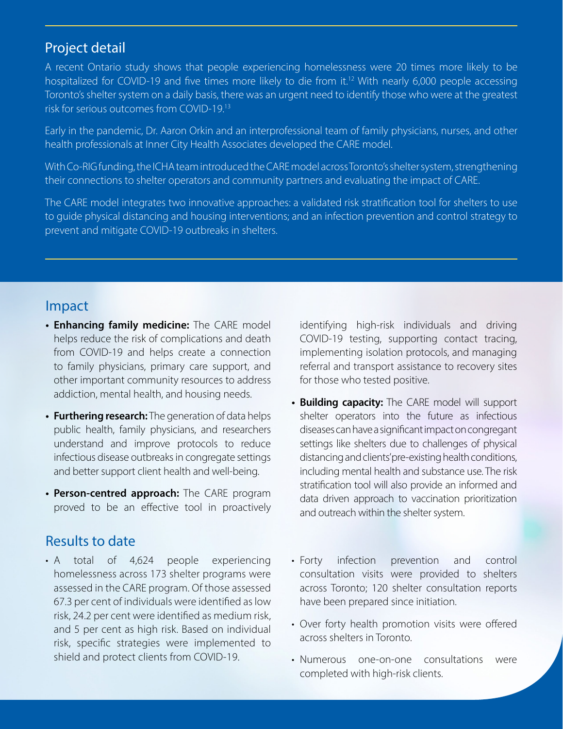## Project detail

A recent Ontario study shows that people experiencing homelessness were 20 times more likely to be hospitalized for COVID-19 and five times more likely to die from it.<sup>12</sup> With nearly 6,000 people accessing Toronto's shelter system on a daily basis, there was an urgent need to identify those who were at the greatest risk for serious outcomes from COVID-19.13

Early in the pandemic, Dr. Aaron Orkin and an interprofessional team of family physicians, nurses, and other health professionals at Inner City Health Associates developed the CARE model.

With Co-RIG funding, the ICHA team introduced the CARE model across Toronto's shelter system, strengthening their connections to shelter operators and community partners and evaluating the impact of CARE.

The CARE model integrates two innovative approaches: a validated risk stratification tool for shelters to use to guide physical distancing and housing interventions; and an infection prevention and control strategy to prevent and mitigate COVID-19 outbreaks in shelters.

### Impact

- **• Enhancing family medicine:** The CARE model helps reduce the risk of complications and death from COVID-19 and helps create a connection to family physicians, primary care support, and other important community resources to address addiction, mental health, and housing needs.
- **• Furthering research:** The generation of data helps public health, family physicians, and researchers understand and improve protocols to reduce infectious disease outbreaks in congregate settings and better support client health and well-being.
- **• Person-centred approach:** The CARE program proved to be an effective tool in proactively

# Results to date

• A total of 4,624 people experiencing homelessness across 173 shelter programs were assessed in the CARE program. Of those assessed 67.3 per cent of individuals were identified as low risk, 24.2 per cent were identified as medium risk, and 5 per cent as high risk. Based on individual risk, specific strategies were implemented to shield and protect clients from COVID-19.

identifying high-risk individuals and driving COVID-19 testing, supporting contact tracing, implementing isolation protocols, and managing referral and transport assistance to recovery sites for those who tested positive.

- **• Building capacity:** The CARE model will support shelter operators into the future as infectious diseases can have a significant impact on congregant settings like shelters due to challenges of physical distancing and clients' pre-existing health conditions, including mental health and substance use. The risk stratification tool will also provide an informed and data driven approach to vaccination prioritization and outreach within the shelter system.
- Forty infection prevention and control consultation visits were provided to shelters across Toronto; 120 shelter consultation reports have been prepared since initiation.
- Over forty health promotion visits were offered across shelters in Toronto.
- Numerous one-on-one consultations were completed with high-risk clients.